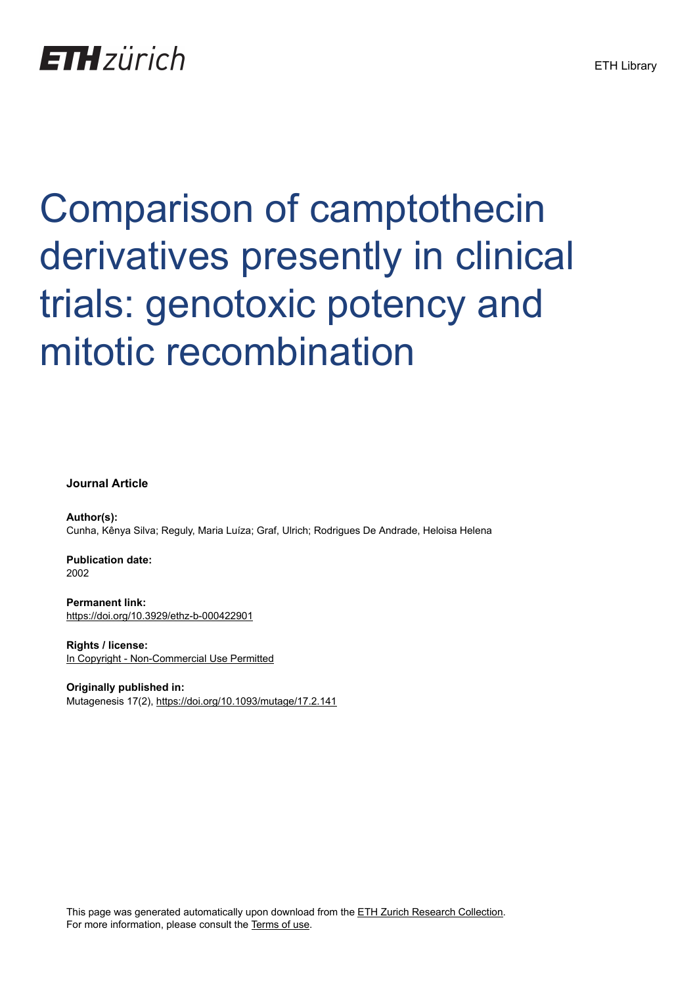## **ETH** zürich

# Comparison of camptothecin derivatives presently in clinical trials: genotoxic potency and mitotic recombination

**Journal Article**

**Author(s):** Cunha, Kênya Silva; Reguly, Maria Luíza; Graf, Ulrich; Rodrigues De Andrade, Heloisa Helena

**Publication date:** 2002

**Permanent link:** <https://doi.org/10.3929/ethz-b-000422901>

**Rights / license:** [In Copyright - Non-Commercial Use Permitted](http://rightsstatements.org/page/InC-NC/1.0/)

**Originally published in:** Mutagenesis 17(2), <https://doi.org/10.1093/mutage/17.2.141>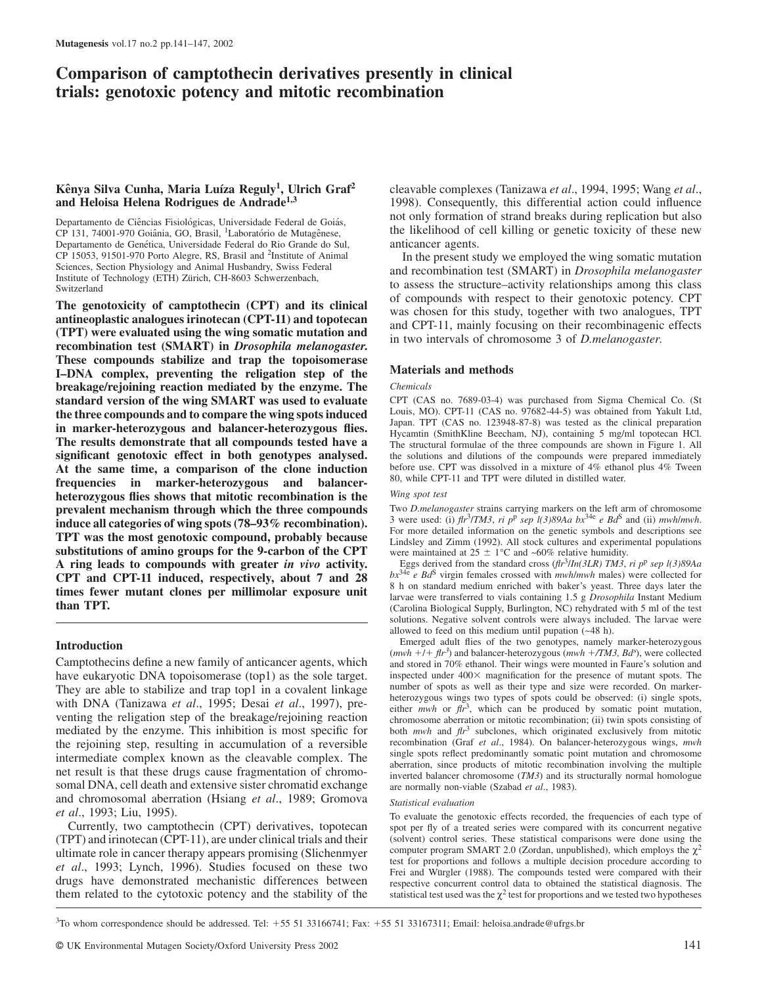### **Comparison of camptothecin derivatives presently in clinical trials: genotoxic potency and mitotic recombination**

#### Kênya Silva Cunha, Maria Luíza Reguly<sup>1</sup>, Ulrich Graf<sup>2</sup> **and Heloisa Helena Rodrigues de Andrade1,3**

Departamento de Ciências Fisiológicas, Universidade Federal de Goiás, CP 131, 74001-970 Goiânia, GO, Brasil, <sup>1</sup>Laboratório de Mutagênese, Departamento de Genética, Universidade Federal do Rio Grande do Sul, CP 15053, 91501-970 Porto Alegre, RS, Brasil and 2Institute of Animal Sciences, Section Physiology and Animal Husbandry, Swiss Federal Institute of Technology (ETH) Zürich, CH-8603 Schwerzenbach, Switzerland

**The genotoxicity of camptothecin (CPT) and its clinical antineoplastic analogues irinotecan (CPT-11) and topotecan (TPT) were evaluated using the wing somatic mutation and recombination test (SMART) in** *Drosophila melanogaster***. These compounds stabilize and trap the topoisomerase I–DNA complex, preventing the religation step of the breakage/rejoining reaction mediated by the enzyme. The standard version of the wing SMART was used to evaluate the three compounds and to compare the wing spots induced in marker-heterozygous and balancer-heterozygous flies. The results demonstrate that all compounds tested have a significant genotoxic effect in both genotypes analysed. At the same time, a comparison of the clone induction frequencies in marker-heterozygous and balancerheterozygous flies shows that mitotic recombination is the prevalent mechanism through which the three compounds induce all categories of wing spots (78–93% recombination). TPT was the most genotoxic compound, probably because substitutions of amino groups for the 9-carbon of the CPT A ring leads to compounds with greater** *in vivo* **activity. CPT and CPT-11 induced, respectively, about 7 and 28 times fewer mutant clones per millimolar exposure unit than TPT.**

#### **Introduction**

Camptothecins define a new family of anticancer agents, which have eukaryotic DNA topoisomerase (top1) as the sole target. They are able to stabilize and trap top1 in a covalent linkage with DNA (Tanizawa *et al*., 1995; Desai *et al*., 1997), preventing the religation step of the breakage/rejoining reaction mediated by the enzyme. This inhibition is most specific for the rejoining step, resulting in accumulation of a reversible intermediate complex known as the cleavable complex. The net result is that these drugs cause fragmentation of chromosomal DNA, cell death and extensive sister chromatid exchange and chromosomal aberration (Hsiang *et al*., 1989; Gromova *et al*., 1993; Liu, 1995).

Currently, two camptothecin (CPT) derivatives, topotecan (TPT) and irinotecan (CPT-11), are under clinical trials and their ultimate role in cancer therapy appears promising (Slichenmyer *et al*., 1993; Lynch, 1996). Studies focused on these two drugs have demonstrated mechanistic differences between them related to the cytotoxic potency and the stability of the

cleavable complexes (Tanizawa *et al*., 1994, 1995; Wang *et al*., 1998). Consequently, this differential action could influence not only formation of strand breaks during replication but also the likelihood of cell killing or genetic toxicity of these new anticancer agents.

In the present study we employed the wing somatic mutation and recombination test (SMART) in *Drosophila melanogaster* to assess the structure–activity relationships among this class of compounds with respect to their genotoxic potency. CPT was chosen for this study, together with two analogues, TPT and CPT-11, mainly focusing on their recombinagenic effects in two intervals of chromosome 3 of *D.melanogaster*.

#### **Materials and methods**

#### *Chemicals*

CPT (CAS no. 7689-03-4) was purchased from Sigma Chemical Co. (St Louis, MO). CPT-11 (CAS no. 97682-44-5) was obtained from Yakult Ltd, Japan. TPT (CAS no. 123948-87-8) was tested as the clinical preparation Hycamtin (SmithKline Beecham, NJ), containing 5 mg/ml topotecan HCl. The structural formulae of the three compounds are shown in Figure 1. All the solutions and dilutions of the compounds were prepared immediately before use. CPT was dissolved in a mixture of 4% ethanol plus 4% Tween 80, while CPT-11 and TPT were diluted in distilled water.

#### *Wing spot test*

Two *D.melanogaster* strains carrying markers on the left arm of chromosome 3 were used: (i)  $\partial h^3 / TM3$ , *ri*  $p^p$  *sep*  $l(3)89Aa$   $bx^{34e}$  *e*  $Bd^S$  and (ii) *mwh/mwh.* For more detailed information on the genetic symbols and descriptions see Lindsley and Zimm (1992). All stock cultures and experimental populations were maintained at  $25 \pm 1$ °C and ~60% relative humidity.

Eggs derived from the standard cross (*flr*3/*In(3LR) TM3*, *ri p*<sup>p</sup> *sep l(3)89Aa bx*34e *e Bd*<sup>S</sup> virgin females crossed with *mwh*/*mwh* males) were collected for 8 h on standard medium enriched with baker's yeast. Three days later the larvae were transferred to vials containing 1.5 g *Drosophila* Instant Medium (Carolina Biological Supply, Burlington, NC) rehydrated with 5 ml of the test solutions. Negative solvent controls were always included. The larvae were allowed to feed on this medium until pupation (~48 h).

Emerged adult flies of the two genotypes, namely marker-heterozygous  $(mwh + l + \hat{f}tr^3)$  and balancer-heterozygous  $(mwh + /TM3, Bd^s)$ , were collected and stored in 70% ethanol. Their wings were mounted in Faure's solution and inspected under  $400\times$  magnification for the presence of mutant spots. The number of spots as well as their type and size were recorded. On markerheterozygous wings two types of spots could be observed: (i) single spots, either *mwh* or  $f\hskip-2.1mu^3$ , which can be produced by somatic point mutation, chromosome aberration or mitotic recombination; (ii) twin spots consisting of both *mwh* and *flr*<sup>3</sup> subclones, which originated exclusively from mitotic recombination (Graf *et al*., 1984). On balancer-heterozygous wings, *mwh* single spots reflect predominantly somatic point mutation and chromosome aberration, since products of mitotic recombination involving the multiple inverted balancer chromosome (*TM3*) and its structurally normal homologue are normally non-viable (Szabad *et al*., 1983).

#### *Statistical evaluation*

To evaluate the genotoxic effects recorded, the frequencies of each type of spot per fly of a treated series were compared with its concurrent negative (solvent) control series. These statistical comparisons were done using the computer program SMART 2.0 (Zordan, unpublished), which employs the  $\chi^2$ test for proportions and follows a multiple decision procedure according to Frei and Würgler (1988). The compounds tested were compared with their respective concurrent control data to obtained the statistical diagnosis. The statistical test used was the  $\chi^2$  test for proportions and we tested two hypotheses

 $3$ To whom correspondence should be addressed. Tel: +55 51 33166741; Fax: +55 51 33167311; Email: heloisa.andrade@ufrgs.br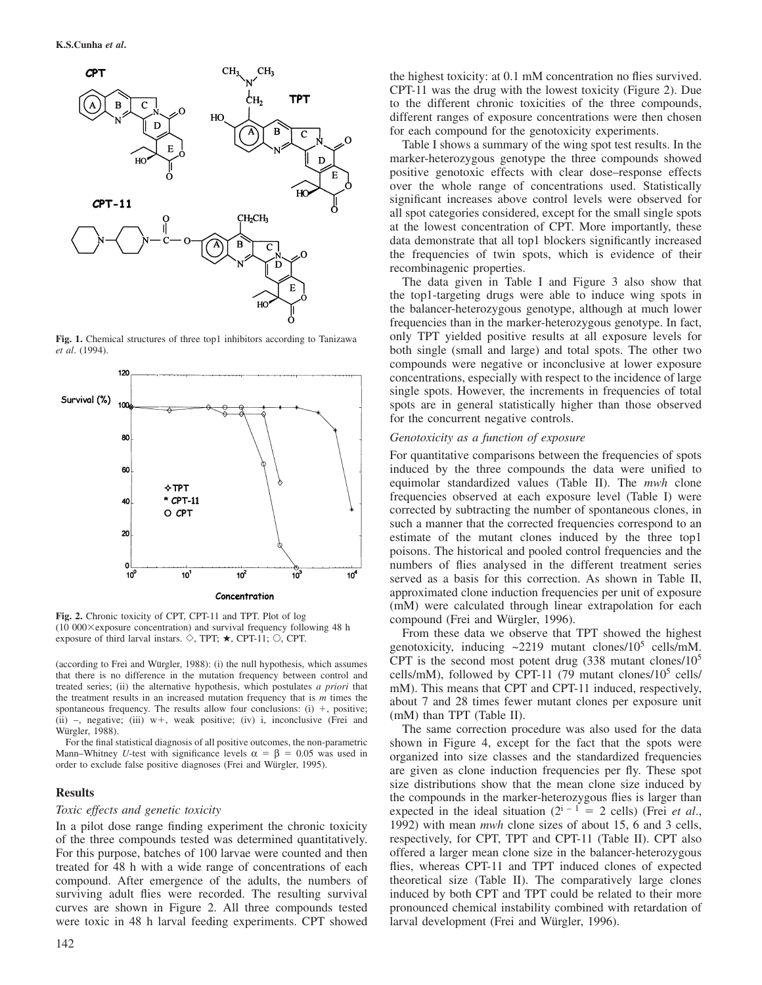

Fig. 1. Chemical structures of three top1 inhibitors according to Tanizawa *et al*. (1994).



**Fig. 2.** Chronic toxicity of CPT, CPT-11 and TPT. Plot of log  $(10\ 000\times$ exposure concentration) and survival frequency following 48 h exposure of third larval instars.  $\diamond$ , TPT;  $\star$ , CPT-11;  $\circ$ , CPT.

(according to Frei and Würgler, 1988): (i) the null hypothesis, which assumes that there is no difference in the mutation frequency between control and treated series; (ii) the alternative hypothesis, which postulates *a priori* that the treatment results in an increased mutation frequency that is *m* times the spontaneous frequency. The results allow four conclusions:  $(i) +$ , positive; (ii)  $-$ , negative; (iii)  $w+$ , weak positive; (iv) i, inconclusive (Frei and Würgler, 1988).

For the final statistical diagnosis of all positive outcomes, the non-parametric Mann–Whitney *U*-test with significance levels  $\alpha = \beta = 0.05$  was used in order to exclude false positive diagnoses (Frei and Würgler, 1995).

#### **Results**

#### *Toxic effects and genetic toxicity*

In a pilot dose range finding experiment the chronic toxicity of the three compounds tested was determined quantitatively. For this purpose, batches of 100 larvae were counted and then treated for 48 h with a wide range of concentrations of each compound. After emergence of the adults, the numbers of surviving adult flies were recorded. The resulting survival curves are shown in Figure 2. All three compounds tested were toxic in 48 h larval feeding experiments. CPT showed

the highest toxicity: at 0.1 mM concentration no flies survived. CPT-11 was the drug with the lowest toxicity (Figure 2). Due to the different chronic toxicities of the three compounds, different ranges of exposure concentrations were then chosen for each compound for the genotoxicity experiments.

Table I shows a summary of the wing spot test results. In the marker-heterozygous genotype the three compounds showed positive genotoxic effects with clear dose–response effects over the whole range of concentrations used. Statistically significant increases above control levels were observed for all spot categories considered, except for the small single spots at the lowest concentration of CPT. More importantly, these data demonstrate that all top1 blockers significantly increased the frequencies of twin spots, which is evidence of their recombinagenic properties.

The data given in Table I and Figure 3 also show that the top1-targeting drugs were able to induce wing spots in the balancer-heterozygous genotype, although at much lower frequencies than in the marker-heterozygous genotype. In fact, only TPT yielded positive results at all exposure levels for both single (small and large) and total spots. The other two compounds were negative or inconclusive at lower exposure concentrations, especially with respect to the incidence of large single spots. However, the increments in frequencies of total spots are in general statistically higher than those observed for the concurrent negative controls.

#### *Genotoxicity as a function of exposure*

For quantitative comparisons between the frequencies of spots induced by the three compounds the data were unified to equimolar standardized values (Table II). The *mwh* clone frequencies observed at each exposure level (Table I) were corrected by subtracting the number of spontaneous clones, in such a manner that the corrected frequencies correspond to an estimate of the mutant clones induced by the three top1 poisons. The historical and pooled control frequencies and the numbers of flies analysed in the different treatment series served as a basis for this correction. As shown in Table II, approximated clone induction frequencies per unit of exposure (mM) were calculated through linear extrapolation for each compound (Frei and Würgler, 1996).

From these data we observe that TPT showed the highest genotoxicity, inducing  $\approx 2219$  mutant clones/ $10^5$  cells/mM. CPT is the second most potent drug  $(338 \text{ mutant clones}/10^5)$ cells/mM), followed by CPT-11 (79 mutant clones/ $10^5$  cells/ mM). This means that CPT and CPT-11 induced, respectively, about 7 and 28 times fewer mutant clones per exposure unit (mM) than TPT (Table II).

The same correction procedure was also used for the data shown in Figure 4, except for the fact that the spots were organized into size classes and the standardized frequencies are given as clone induction frequencies per fly. These spot size distributions show that the mean clone size induced by the compounds in the marker-heterozygous flies is larger than expected in the ideal situation  $(2^{i-1} = 2$  cells) (Frei *et al.*, 1992) with mean *mwh* clone sizes of about 15, 6 and 3 cells, respectively, for CPT, TPT and CPT-11 (Table II). CPT also offered a larger mean clone size in the balancer-heterozygous flies, whereas CPT-11 and TPT induced clones of expected theoretical size (Table II). The comparatively large clones induced by both CPT and TPT could be related to their more pronounced chemical instability combined with retardation of larval development (Frei and Würgler, 1996).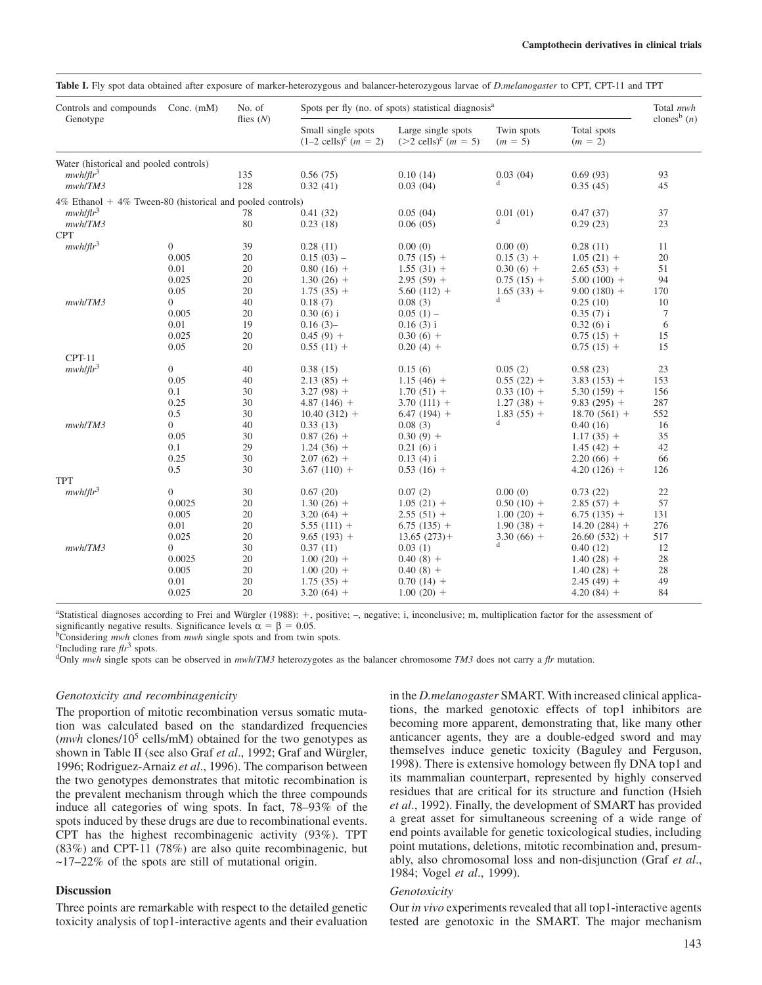| Controls and compounds<br>Genotype                              | Conc. $(mM)$            | No. of<br>flies $(N)$ | Spots per fly (no. of spots) statistical diagnosis <sup>a</sup> | Total mwh                                                 |                             |                            |                           |
|-----------------------------------------------------------------|-------------------------|-----------------------|-----------------------------------------------------------------|-----------------------------------------------------------|-----------------------------|----------------------------|---------------------------|
|                                                                 |                         |                       | Small single spots<br>$(1-2$ cells) <sup>c</sup> $(m = 2)$      | Large single spots<br>$(>2$ cells) <sup>c</sup> $(m = 5)$ | Twin spots<br>$(m = 5)$     | Total spots<br>$(m = 2)$   | clones <sup>b</sup> $(n)$ |
| Water (historical and pooled controls)                          |                         |                       |                                                                 |                                                           |                             |                            |                           |
| $mwh/flr^3$                                                     |                         | 135                   | 0.56(75)                                                        | 0.10(14)                                                  | 0.03(04)                    | 0.69(93)                   | 93                        |
| mwh/TM3                                                         |                         | 128                   | 0.32(41)                                                        | 0.03(04)                                                  | d                           | 0.35(45)                   | 45                        |
| $4\%$ Ethanol + $4\%$ Tween-80 (historical and pooled controls) |                         |                       |                                                                 |                                                           |                             |                            |                           |
| $mwh/flr^3$                                                     |                         | 78                    | 0.41(32)                                                        | 0.05(04)                                                  | 0.01(01)                    | 0.47(37)                   | 37                        |
| mwh/TM3                                                         |                         | 80                    | 0.23(18)                                                        | 0.06(05)                                                  | d                           | 0.29(23)                   | 23                        |
| <b>CPT</b>                                                      |                         |                       |                                                                 |                                                           |                             |                            |                           |
| $mwh/flr^3$                                                     | $\overline{0}$          | 39                    | 0.28(11)                                                        | 0.00(0)                                                   | 0.00(0)                     | 0.28(11)                   | 11                        |
|                                                                 | 0.005                   | 20                    | $0.15(03)$ –                                                    | $0.75(15) +$                                              | $0.15(3) +$                 | $1.05(21) +$               | 20                        |
|                                                                 | 0.01                    | 20                    | $0.80(16) +$                                                    | $1.55(31) +$                                              | $0.30(6) +$                 | $2.65(53) +$               | 51                        |
|                                                                 | 0.025                   | 20                    | $1.30(26) +$                                                    | $2.95(59) +$                                              | $0.75(15) +$                | $5.00(100) +$              | 94                        |
|                                                                 | 0.05                    | 20                    | $1.75(35) +$                                                    | $5.60(112) +$                                             | $1.65(33) +$                | $9.00(180) +$              | 170                       |
| mwh/TM3                                                         | $\overline{0}$          | 40                    | 0.18(7)                                                         | 0.08(3)                                                   | d                           | 0.25(10)                   | 10                        |
|                                                                 | 0.005                   | 20                    | $0.30(6)$ i                                                     | $0.05(1)$ –                                               |                             | $0.35(7)$ i                | $\tau$                    |
|                                                                 | 0.01                    | 19                    | 0.16(3)                                                         | $0.16(3)$ i                                               |                             | $0.32(6)$ i                | 6                         |
|                                                                 | 0.025                   | 20                    | $0.45(9) +$                                                     | $0.30(6) +$                                               |                             | $0.75(15) +$               | 15                        |
|                                                                 | 0.05                    | 20                    | $0.55(11) +$                                                    | $0.20(4) +$                                               |                             | $0.75(15) +$               | 15                        |
| $CPT-11$                                                        |                         |                       |                                                                 |                                                           |                             |                            |                           |
| $mwh/flr^3$                                                     | $\overline{0}$          | 40                    | 0.38(15)                                                        | 0.15(6)                                                   | 0.05(2)                     | 0.58(23)                   | 23                        |
|                                                                 | 0.05                    | 40                    | $2.13(85) +$                                                    | $1.15(46) +$                                              | $0.55(22) +$                | $3.83(153) +$              | 153                       |
|                                                                 | 0.1                     | 30                    | $3.27(98) +$                                                    | $1.70(51) +$                                              | $0.33(10) +$                | $5.30(159) +$              | 156                       |
|                                                                 | 0.25                    | 30                    | $4.87(146) +$                                                   | $3.70(111) +$                                             | $1.27(38) +$                | $9.83(295) +$              | 287                       |
|                                                                 | 0.5                     | 30                    | $10.40(312) +$                                                  | $6.47(194) +$                                             | $1.83(55) +$<br>$\mathbf d$ | $18.70(561) +$             | 552                       |
| mwh/TM3                                                         | $\Omega$                | 40                    | 0.33(13)                                                        | 0.08(3)                                                   |                             | 0.40(16)                   | 16                        |
|                                                                 | 0.05                    | 30                    | $0.87(26) +$                                                    | $0.30(9) +$                                               |                             | $1.17(35) +$               | 35                        |
|                                                                 | 0.1                     | 29                    | $1.24(36) +$                                                    | $0.21(6)$ i                                               |                             | $1.45(42) +$               | 42                        |
|                                                                 | 0.25                    | 30                    | $2.07(62) +$                                                    | $0.13(4)$ i                                               |                             | $2.20(66) +$               | 66                        |
| <b>TPT</b>                                                      | 0.5                     | 30                    | $3.67(110) +$                                                   | $0.53(16) +$                                              |                             | $4.20(126) +$              | 126                       |
| mwh/flr <sup>3</sup>                                            | $\boldsymbol{0}$        | 30                    | 0.67(20)                                                        | 0.07(2)                                                   | 0.00(0)                     | 0.73(22)                   | 22                        |
|                                                                 | 0.0025                  | 20                    | $1.30(26) +$                                                    | $1.05(21) +$                                              | $0.50(10) +$                | $2.85(57) +$               | 57                        |
|                                                                 | 0.005                   | 20                    | $3.20(64) +$                                                    | $2.55(51) +$                                              |                             | $6.75(135) +$              | 131                       |
|                                                                 | 0.01                    | 20                    |                                                                 |                                                           | $1.00(20) +$                |                            | 276                       |
|                                                                 |                         |                       | $5.55(111) +$                                                   | $6.75(135) +$                                             | $1.90(38) +$                | $14.20(284) +$             |                           |
| mwh/TM3                                                         | 0.025<br>$\overline{0}$ | 20<br>30              | $9.65(193) +$<br>0.37(11)                                       | $13.65(273)$ +<br>0.03(1)                                 | $3.30(66) +$<br>d           | $26.60(532) +$<br>0.40(12) | 517<br>12                 |
|                                                                 | 0.0025                  | 20                    | $1.00(20) +$                                                    |                                                           |                             | $1.40(28) +$               | 28                        |
|                                                                 | 0.005                   | 20                    | $1.00(20) +$                                                    | $0.40(8) +$<br>$0.40(8) +$                                |                             | $1.40(28) +$               | 28                        |
|                                                                 | 0.01                    | 20                    | $1.75(35) +$                                                    |                                                           |                             | $2.45(49) +$               | 49                        |
|                                                                 | 0.025                   | 20                    |                                                                 | $0.70(14) +$<br>$1.00(20) +$                              |                             | $4.20(84) +$               | 84                        |
|                                                                 |                         |                       | $3.20(64) +$                                                    |                                                           |                             |                            |                           |

**Table I.** Fly spot data obtained after exposure of marker-heterozygous and balancer-heterozygous larvae of *D.melanogaster* to CPT, CPT-11 and TPT

<sup>a</sup>Statistical diagnoses according to Frei and Würgler (1988): +, positive; -, negative; i, inconclusive; m, multiplication factor for the assessment of significantly negative results. Significance levels  $\alpha = \beta = 0.05$ .<br><sup>b</sup>Considering *mwh* clones from *mwh* single spots and from twin spots. <sup>c</sup>Including rare *fn*<sup>3</sup> spots.

<sup>d</sup>Only *mwh* single spots can be observed in *mwh*/*TM3* heterozygotes as the balancer chromosome *TM3* does not carry a *flr* mutation.

#### *Genotoxicity and recombinagenicity*

The proportion of mitotic recombination versus somatic mutation was calculated based on the standardized frequencies (*mwh* clones/10<sup>5</sup> cells/mM) obtained for the two genotypes as shown in Table II (see also Graf et al., 1992; Graf and Würgler, 1996; Rodriguez-Arnaiz *et al*., 1996). The comparison between the two genotypes demonstrates that mitotic recombination is the prevalent mechanism through which the three compounds induce all categories of wing spots. In fact, 78–93% of the spots induced by these drugs are due to recombinational events. CPT has the highest recombinagenic activity (93%). TPT (83%) and CPT-11 (78%) are also quite recombinagenic, but  $\sim$ 17–22% of the spots are still of mutational origin.

#### **Discussion**

Three points are remarkable with respect to the detailed genetic toxicity analysis of top1-interactive agents and their evaluation in the *D.melanogaster* SMART. With increased clinical applications, the marked genotoxic effects of top1 inhibitors are becoming more apparent, demonstrating that, like many other anticancer agents, they are a double-edged sword and may themselves induce genetic toxicity (Baguley and Ferguson, 1998). There is extensive homology between fly DNA top1 and its mammalian counterpart, represented by highly conserved residues that are critical for its structure and function (Hsieh *et al*., 1992). Finally, the development of SMART has provided a great asset for simultaneous screening of a wide range of end points available for genetic toxicological studies, including point mutations, deletions, mitotic recombination and, presumably, also chromosomal loss and non-disjunction (Graf *et al*., 1984; Vogel *et al*., 1999).

#### *Genotoxicity*

Our *in vivo* experiments revealed that all top1-interactive agents tested are genotoxic in the SMART. The major mechanism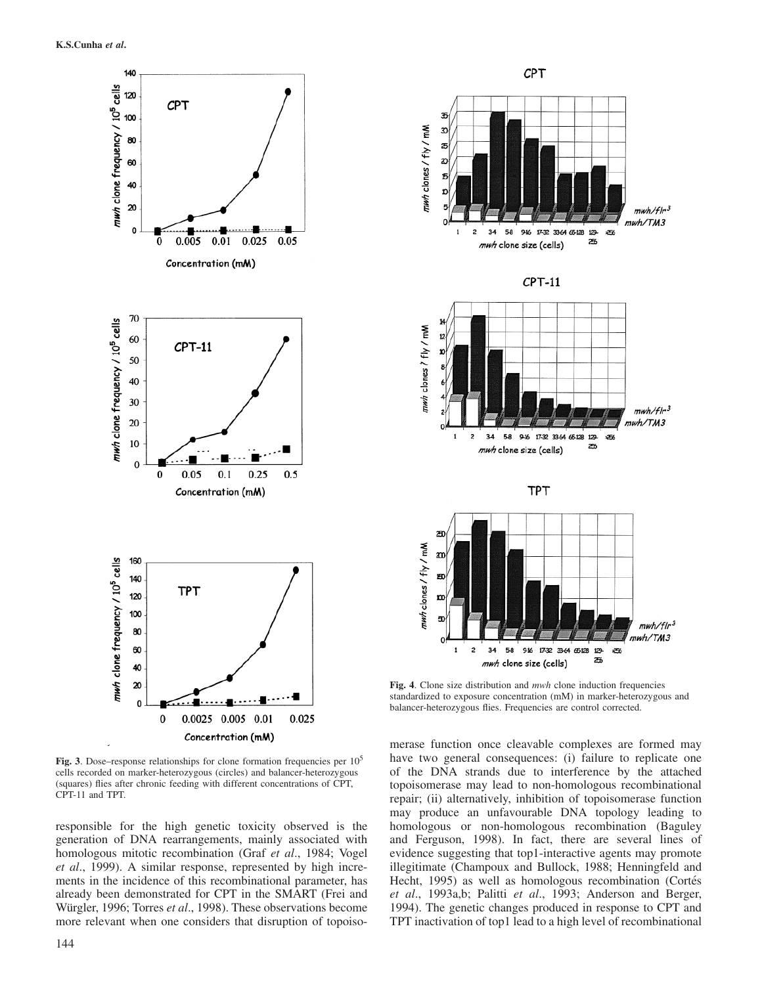

**Fig. 3**. Dose–response relationships for clone formation frequencies per 10<sup>5</sup> cells recorded on marker-heterozygous (circles) and balancer-heterozygous (squares) flies after chronic feeding with different concentrations of CPT, CPT-11 and TPT.

responsible for the high genetic toxicity observed is the generation of DNA rearrangements, mainly associated with homologous mitotic recombination (Graf *et al*., 1984; Vogel *et al*., 1999). A similar response, represented by high increments in the incidence of this recombinational parameter, has already been demonstrated for CPT in the SMART (Frei and Würgler, 1996; Torres et al., 1998). These observations become more relevant when one considers that disruption of topoiso-



CPT

**Fig. 4**. Clone size distribution and *mwh* clone induction frequencies standardized to exposure concentration (mM) in marker-heterozygous and balancer-heterozygous flies. Frequencies are control corrected.

merase function once cleavable complexes are formed may have two general consequences: (i) failure to replicate one of the DNA strands due to interference by the attached topoisomerase may lead to non-homologous recombinational repair; (ii) alternatively, inhibition of topoisomerase function may produce an unfavourable DNA topology leading to homologous or non-homologous recombination (Baguley and Ferguson, 1998). In fact, there are several lines of evidence suggesting that top1-interactive agents may promote illegitimate (Champoux and Bullock, 1988; Henningfeld and Hecht, 1995) as well as homologous recombination (Cortés *et al*., 1993a,b; Palitti *et al*., 1993; Anderson and Berger, 1994). The genetic changes produced in response to CPT and TPT inactivation of top1 lead to a high level of recombinational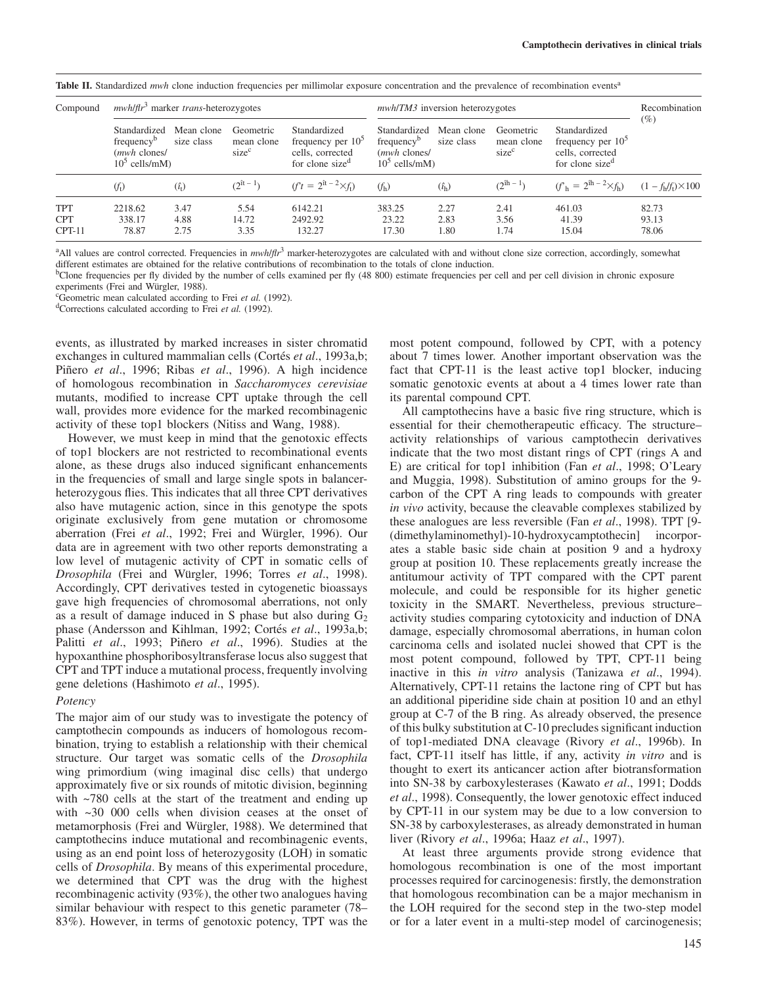| Compound                             | $mwh/ftr3$ marker <i>trans</i> -heterozygotes                                                                 |                                              |                                                                                        |                                                                                    | <u>raya ra sunnanca must must manentum nequencies per minimitam exposure ethechitantum and the pre-uncher or recomments e-ento</u><br><i>mwh/TM3</i> inversion heterozygotes |                                              |                                                                                        |                                             | Recombination              |
|--------------------------------------|---------------------------------------------------------------------------------------------------------------|----------------------------------------------|----------------------------------------------------------------------------------------|------------------------------------------------------------------------------------|------------------------------------------------------------------------------------------------------------------------------------------------------------------------------|----------------------------------------------|----------------------------------------------------------------------------------------|---------------------------------------------|----------------------------|
|                                      | Standardized<br>Mean clone<br>frequency <sup>b</sup><br>size class<br>( <i>mwh</i> clones/<br>$105$ cells/mM) | Geometric<br>mean clone<br>size <sup>c</sup> | Standardized<br>frequency per $105$<br>cells, corrected<br>for clone size <sup>d</sup> | Standardized<br>frequency <sup>b</sup><br>( <i>mwh</i> clones/<br>$10^5$ cells/mM) | Mean clone<br>size class                                                                                                                                                     | Geometric<br>mean clone<br>size <sup>c</sup> | Standardized<br>frequency per $105$<br>cells, corrected<br>for clone size <sup>d</sup> | $(\%)$                                      |                            |
|                                      | $(f_t)$                                                                                                       | $(\hat{i}_t)$                                | $(2^{it} - 1)$                                                                         | $(f^t = 2^{\hat{\imath}t - 2} \times f_t)$                                         | (f <sub>h</sub> )                                                                                                                                                            | $(\hat{i}_{h})$                              | $(2^{îh-1})$                                                                           | $(f_h = 2^{\hat{\text{h}} - 2} \times f_h)$ | $(1 - f_h/f_t) \times 100$ |
| <b>TPT</b><br><b>CPT</b><br>$CPT-11$ | 2218.62<br>338.17<br>78.87                                                                                    | 3.47<br>4.88<br>2.75                         | 5.54<br>14.72<br>3.35                                                                  | 6142.21<br>2492.92<br>132.27                                                       | 383.25<br>23.22<br>17.30                                                                                                                                                     | 2.27<br>2.83<br>1.80                         | 2.41<br>3.56<br>1.74                                                                   | 461.03<br>41.39<br>15.04                    | 82.73<br>93.13<br>78.06    |

**Table II.** Standardized *mwh* clone induction frequencies per millimolar exposure concentration and the prevalence of recombination events<sup>a</sup>

<sup>a</sup>All values are control corrected. Frequencies in  $mwh/ft^3$  marker-heterozygotes are calculated with and without clone size correction, accordingly, somewhat different estimates are obtained for the relative contributions of recombination to the totals of clone induction.

bClone frequencies per fly divided by the number of cells examined per fly (48 800) estimate frequencies per cell and per cell division in chronic exposure

experiments (Frei and Würgler, 1988).<br><sup>c</sup>Geometric mean calculated according to Frei et al. (1992).

<sup>d</sup>Corrections calculated according to Frei *et al.* (1992).

events, as illustrated by marked increases in sister chromatid exchanges in cultured mammalian cells (Cortés *et al.*, 1993a,b; Piñero *et al.*, 1996; Ribas *et al.*, 1996). A high incidence of homologous recombination in *Saccharomyces cerevisiae* mutants, modified to increase CPT uptake through the cell wall, provides more evidence for the marked recombinagenic activity of these top1 blockers (Nitiss and Wang, 1988).

However, we must keep in mind that the genotoxic effects of top1 blockers are not restricted to recombinational events alone, as these drugs also induced significant enhancements in the frequencies of small and large single spots in balancerheterozygous flies. This indicates that all three CPT derivatives also have mutagenic action, since in this genotype the spots originate exclusively from gene mutation or chromosome aberration (Frei et al., 1992; Frei and Würgler, 1996). Our data are in agreement with two other reports demonstrating a low level of mutagenic activity of CPT in somatic cells of *Drosophila* (Frei and Wu¨rgler, 1996; Torres *et al*., 1998). Accordingly, CPT derivatives tested in cytogenetic bioassays gave high frequencies of chromosomal aberrations, not only as a result of damage induced in S phase but also during  $G_2$ phase (Andersson and Kihlman, 1992; Cortés *et al.*, 1993a,b; Palitti *et al.*, 1993; Piñero *et al.*, 1996). Studies at the hypoxanthine phosphoribosyltransferase locus also suggest that CPT and TPT induce a mutational process, frequently involving gene deletions (Hashimoto *et al*., 1995).

#### *Potency*

The major aim of our study was to investigate the potency of camptothecin compounds as inducers of homologous recombination, trying to establish a relationship with their chemical structure. Our target was somatic cells of the *Drosophila* wing primordium (wing imaginal disc cells) that undergo approximately five or six rounds of mitotic division, beginning with ~780 cells at the start of the treatment and ending up with ~30 000 cells when division ceases at the onset of metamorphosis (Frei and Würgler, 1988). We determined that camptothecins induce mutational and recombinagenic events, using as an end point loss of heterozygosity (LOH) in somatic cells of *Drosophila*. By means of this experimental procedure, we determined that CPT was the drug with the highest recombinagenic activity (93%), the other two analogues having similar behaviour with respect to this genetic parameter (78– 83%). However, in terms of genotoxic potency, TPT was the

most potent compound, followed by CPT, with a potency about 7 times lower. Another important observation was the fact that CPT-11 is the least active top1 blocker, inducing somatic genotoxic events at about a 4 times lower rate than its parental compound CPT.

All camptothecins have a basic five ring structure, which is essential for their chemotherapeutic efficacy. The structure– activity relationships of various camptothecin derivatives indicate that the two most distant rings of CPT (rings A and E) are critical for top1 inhibition (Fan *et al*., 1998; O'Leary and Muggia, 1998). Substitution of amino groups for the 9 carbon of the CPT A ring leads to compounds with greater *in vivo* activity, because the cleavable complexes stabilized by these analogues are less reversible (Fan *et al*., 1998). TPT [9- (dimethylaminomethyl)-10-hydroxycamptothecin] incorporates a stable basic side chain at position 9 and a hydroxy group at position 10. These replacements greatly increase the antitumour activity of TPT compared with the CPT parent molecule, and could be responsible for its higher genetic toxicity in the SMART. Nevertheless, previous structure– activity studies comparing cytotoxicity and induction of DNA damage, especially chromosomal aberrations, in human colon carcinoma cells and isolated nuclei showed that CPT is the most potent compound, followed by TPT, CPT-11 being inactive in this *in vitro* analysis (Tanizawa *et al*., 1994). Alternatively, CPT-11 retains the lactone ring of CPT but has an additional piperidine side chain at position 10 and an ethyl group at C-7 of the B ring. As already observed, the presence of this bulky substitution at C-10 precludes significant induction of top1-mediated DNA cleavage (Rivory *et al*., 1996b). In fact, CPT-11 itself has little, if any, activity *in vitro* and is thought to exert its anticancer action after biotransformation into SN-38 by carboxylesterases (Kawato *et al*., 1991; Dodds *et al*., 1998). Consequently, the lower genotoxic effect induced by CPT-11 in our system may be due to a low conversion to SN-38 by carboxylesterases, as already demonstrated in human liver (Rivory *et al*., 1996a; Haaz *et al*., 1997).

At least three arguments provide strong evidence that homologous recombination is one of the most important processes required for carcinogenesis: firstly, the demonstration that homologous recombination can be a major mechanism in the LOH required for the second step in the two-step model or for a later event in a multi-step model of carcinogenesis;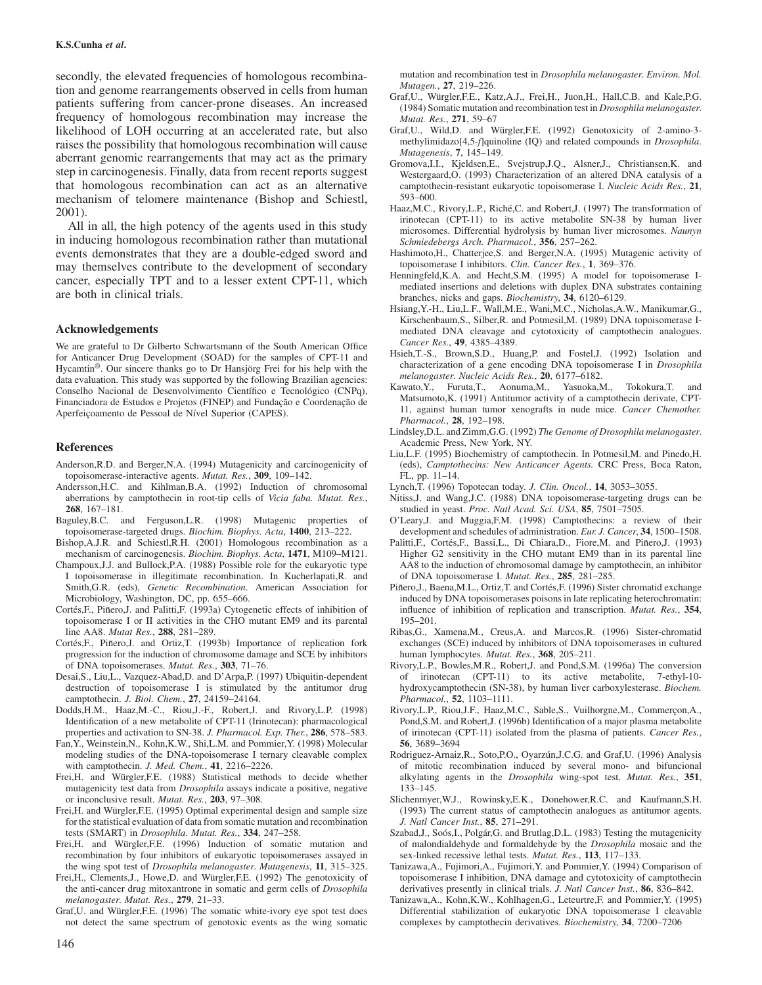secondly, the elevated frequencies of homologous recombination and genome rearrangements observed in cells from human patients suffering from cancer-prone diseases. An increased frequency of homologous recombination may increase the likelihood of LOH occurring at an accelerated rate, but also raises the possibility that homologous recombination will cause aberrant genomic rearrangements that may act as the primary step in carcinogenesis. Finally, data from recent reports suggest that homologous recombination can act as an alternative mechanism of telomere maintenance (Bishop and Schiestl, 2001).

All in all, the high potency of the agents used in this study in inducing homologous recombination rather than mutational events demonstrates that they are a double-edged sword and may themselves contribute to the development of secondary cancer, especially TPT and to a lesser extent CPT-11, which are both in clinical trials.

#### **Acknowledgements**

We are grateful to Dr Gilberto Schwartsmann of the South American Office for Anticancer Drug Development (SOAD) for the samples of CPT-11 and Hycamtin<sup>®</sup>. Our sincere thanks go to Dr Hansjörg Frei for his help with the data evaluation. This study was supported by the following Brazilian agencies: Conselho Nacional de Desenvolvimento Científico e Tecnológico (CNPq), Financiadora de Estudos e Projetos (FINEP) and Fundação e Coordenação de Aperfeiçoamento de Pessoal de Nível Superior (CAPES).

#### **References**

- Anderson,R.D. and Berger,N.A. (1994) Mutagenicity and carcinogenicity of topoisomerase-interactive agents. *Mutat. Res.*, **309**, 109–142.
- Andersson,H.C. and Kihlman,B.A. (1992) Induction of chromosomal aberrations by camptothecin in root-tip cells of *Vicia faba. Mutat. Res.*, **268**, 167–181.
- Baguley,B.C. and Ferguson,L.R. (1998) Mutagenic properties of topoisomerase-targeted drugs. *Biochim. Biophys. Acta*, **1400**, 213–222.
- Bishop,A.J.R. and Schiestl,R.H. (2001) Homologous recombination as a mechanism of carcinogenesis. *Biochim. Biophys. Acta*, **1471**, M109–M121.
- Champoux,J.J. and Bullock,P.A. (1988) Possible role for the eukaryotic type I topoisomerase in illegitimate recombination. In Kucherlapati,R. and Smith,G.R. (eds), *Genetic Recombination*. American Association for Microbiology, Washington, DC, pp. 655–666.
- Cortés,F., Piñero,J. and Palitti,F. (1993a) Cytogenetic effects of inhibition of topoisomerase I or II activities in the CHO mutant EM9 and its parental line AA8. *Mutat Res.*, **288**, 281–289.
- Cortés,F., Piñero,J. and Ortiz,T. (1993b) Importance of replication fork progression for the induction of chromosome damage and SCE by inhibitors of DNA topoisomerases. *Mutat. Res.*, **303**, 71–76.
- Desai,S., Liu,L., Vazquez-Abad,D. and D'Arpa,P. (1997) Ubiquitin-dependent destruction of topoisomerase I is stimulated by the antitumor drug camptothecin. *J. Biol. Chem.*, **27**, 24159–24164.
- Dodds,H.M., Haaz,M.-C., Riou,J.-F., Robert,J. and Rivory,L.P. (1998) Identification of a new metabolite of CPT-11 (Irinotecan): pharmacological properties and activation to SN-38. *J. Pharmacol. Exp. Ther.*, **286**, 578–583.
- Fan,Y., Weinstein,N., Kohn,K.W., Shi,L.M. and Pommier,Y. (1998) Molecular modeling studies of the DNA-topoisomerase I ternary cleavable complex with camptothecin. *J. Med. Chem.*, **41**, 2216–2226.
- Frei,H. and Würgler,F.E. (1988) Statistical methods to decide whether mutagenicity test data from *Drosophila* assays indicate a positive, negative or inconclusive result. *Mutat. Res.*, **203**, 97–308.
- Frei, H. and Würgler, F.E. (1995) Optimal experimental design and sample size for the statistical evaluation of data from somatic mutation and recombination tests (SMART) in *Drosophila*. *Mutat. Res.*, **334**, 247–258.
- Frei,H. and Würgler,F.E. (1996) Induction of somatic mutation and recombination by four inhibitors of eukaryotic topoisomerases assayed in the wing spot test of *Drosophila melanogaster*. *Mutagenesis*, **11**, 315–325.
- Frei, H., Clements, J., Howe, D. and Würgler, F.E. (1992) The genotoxicity of the anti-cancer drug mitoxantrone in somatic and germ cells of *Drosophila melanogaster*. *Mutat. Res.*, **279**, 21–33.
- Graf, U. and Würgler, F.E. (1996) The somatic white-ivory eye spot test does not detect the same spectrum of genotoxic events as the wing somatic

mutation and recombination test in *Drosophila melanogaster*. *Environ. Mol. Mutagen.*, **27**, 219–226.

- Graf, U., Würgler, F.E., Katz, A.J., Frei, H., Juon, H., Hall, C.B. and Kale, P.G. (1984) Somatic mutation and recombination test in *Drosophila melanogaster*. *Mutat. Res.*, **271**, 59–67
- Graf, U., Wild, D. and Würgler, F.E. (1992) Genotoxicity of 2-amino-3methylimidazo[4,5-*f*]quinoline (IQ) and related compounds in *Drosophila*. *Mutagenesis*, **7**, 145–149.
- Gromova,I.I., Kjeldsen,E., Svejstrup,J.Q., Alsner,J., Christiansen,K. and Westergaard,O. (1993) Characterization of an altered DNA catalysis of a camptothecin-resistant eukaryotic topoisomerase I. *Nucleic Acids Res.*, **21**, 593–600.
- Haaz, M.C., Rivory, L.P., Riché, C. and Robert, J. (1997) The transformation of irinotecan (CPT-11) to its active metabolite SN-38 by human liver microsomes. Differential hydrolysis by human liver microsomes. *Naunyn Schmiedebergs Arch. Pharmacol.*, **356**, 257–262.
- Hashimoto,H., Chatterjee,S. and Berger,N.A. (1995) Mutagenic activity of topoisomerase I inhibitors. *Clin. Cancer Res.*, **1**, 369–376.
- Henningfeld,K.A. and Hecht,S.M. (1995) A model for topoisomerase Imediated insertions and deletions with duplex DNA substrates containing branches, nicks and gaps. *Biochemistry*, **34**, 6120–6129.
- Hsiang,Y.-H., Liu,L.F., Wall,M.E., Wani,M.C., Nicholas,A.W., Manikumar,G., Kirschenbaum,S., Silber,R. and Potmesil,M. (1989) DNA topoisomerase Imediated DNA cleavage and cytotoxicity of camptothecin analogues. *Cancer Res.*, **49**, 4385–4389.
- Hsieh,T.-S., Brown,S.D., Huang,P. and Fostel,J. (1992) Isolation and characterization of a gene encoding DNA topoisomerase I in *Drosophila melanogaster*. *Nucleic Acids Res.*, **20**, 6177–6182.
- Kawato,Y., Furuta,T., Aonuma,M., Yasuoka,M., Tokokura,T. and Matsumoto,K. (1991) Antitumor activity of a camptothecin derivate, CPT-11, against human tumor xenografts in nude mice. *Cancer Chemother. Pharmacol.*, **28**, 192–198.
- Lindsley,D.L. and Zimm,G.G. (1992) *The Genome of Drosophila melanogaster*. Academic Press, New York, NY.
- Liu,L.F. (1995) Biochemistry of camptothecin. In Potmesil,M. and Pinedo,H. (eds), *Camptothecins: New Anticancer Agents.* CRC Press, Boca Raton, FL, pp. 11–14.
- Lynch,T. (1996) Topotecan today. *J. Clin. Oncol.*, **14**, 3053–3055.
- Nitiss,J. and Wang,J.C. (1988) DNA topoisomerase-targeting drugs can be studied in yeast. *Proc. Natl Acad. Sci. USA*, **85**, 7501–7505.
- O'Leary,J. and Muggia,F.M. (1998) Camptothecins: a review of their development and schedules of administration. *Eur. J. Cancer*, **34**, 1500–1508.
- Palitti, F., Cortés, F., Bassi, L., Di Chiara, D., Fiore, M. and Piñero, J. (1993) Higher G2 sensitivity in the CHO mutant EM9 than in its parental line AA8 to the induction of chromosomal damage by camptothecin, an inhibitor of DNA topoisomerase I. *Mutat. Res.*, **285**, 281–285.
- Piñero,J., Baena,M.L., Ortiz,T. and Cortés,F. (1996) Sister chromatid exchange induced by DNA topoisomerases poisons in late replicating heterochromatin: influence of inhibition of replication and transcription. *Mutat. Res.*, **354**, 195–201.
- Ribas,G., Xamena,M., Creus,A. and Marcos,R. (1996) Sister-chromatid exchanges (SCE) induced by inhibitors of DNA topoisomerases in cultured human lymphocytes. *Mutat. Res.*, **368**, 205–211.
- Rivory,L.P., Bowles,M.R., Robert,J. and Pond,S.M. (1996a) The conversion of irinotecan (CPT-11) to its active metabolite, 7-ethyl-10 hydroxycamptothecin (SN-38), by human liver carboxylesterase. *Biochem. Pharmacol.*, **52**, 1103–1111.
- Rivory,L.P., Riou,J.F., Haaz,M.C., Sable,S., Vuilhorgne,M., Commerçon,A., Pond,S.M. and Robert,J. (1996b) Identification of a major plasma metabolite of irinotecan (CPT-11) isolated from the plasma of patients. *Cancer Res.*, **56**, 3689–3694
- Rodriguez-Arnaiz, R., Soto, P.O., Oyarzún, J.C.G. and Graf, U. (1996) Analysis of mitotic recombination induced by several mono- and bifuncional alkylating agents in the *Drosophila* wing-spot test. *Mutat. Res.*, **351**, 133–145.
- Slichenmyer,W.J., Rowinsky,E.K., Donehower,R.C. and Kaufmann,S.H. (1993) The current status of camptothecin analogues as antitumor agents. *J. Natl Cancer Inst.*, **85**, 271–291.
- Szabad,J., Soós,I., Polgár,G. and Brutlag,D.L. (1983) Testing the mutagenicity of malondialdehyde and formaldehyde by the *Drosophila* mosaic and the sex-linked recessive lethal tests. *Mutat. Res.*, **113**, 117–133.
- Tanizawa,A., Fujimori,A., Fujimori,Y. and Pommier,Y. (1994) Comparison of topoisomerase I inhibition, DNA damage and cytotoxicity of camptothecin derivatives presently in clinical trials. *J. Natl Cancer Inst.*, **86**, 836–842.
- Tanizawa,A., Kohn,K.W., Kohlhagen,G., Leteurtre,F. and Pommier,Y. (1995) Differential stabilization of eukaryotic DNA topoisomerase I cleavable complexes by camptothecin derivatives. *Biochemistry*, **34**, 7200–7206